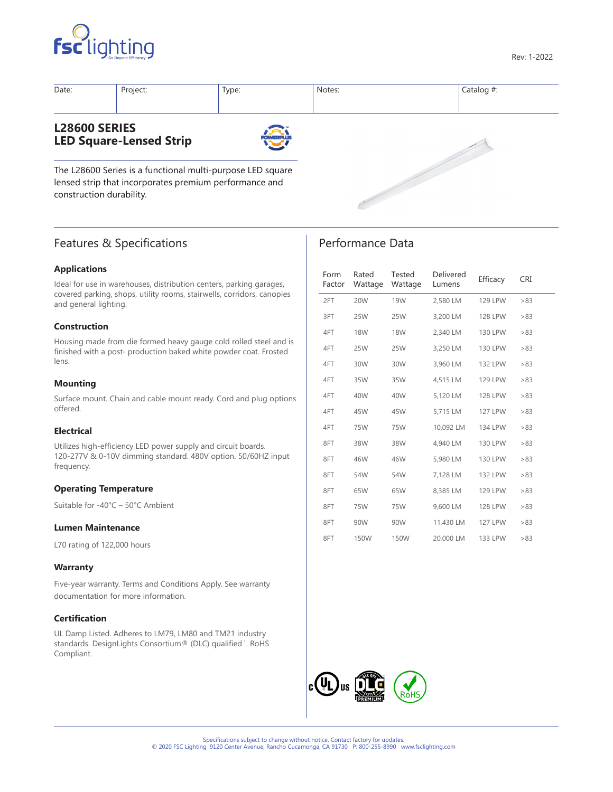



| Date:                | Project:                       | Type:            | Notes: | Catalog $#$ : |
|----------------------|--------------------------------|------------------|--------|---------------|
| <b>L28600 SERIES</b> | <b>LED Square-Lensed Strip</b> | <b>POWERPLUS</b> |        |               |

Performance Data

The L28600 Series is a functional multi-purpose LED square lensed strip that incorporates premium performance and construction durability.

# Features & Specifications

## **Applications**

Ideal for use in warehouses, distribution centers, parking garages, covered parking, shops, utility rooms, stairwells, corridors, canopies and general lighting.

## **Construction**

Housing made from die formed heavy gauge cold rolled steel and is finished with a post- production baked white powder coat. Frosted lens.

## **Mounting**

Surface mount. Chain and cable mount ready. Cord and plug options offered.

## **Electrical**

Utilizes high-efficiency LED power supply and circuit boards. 120-277V & 0-10V dimming standard. 480V option. 50/60HZ input frequency.

## **Operating Temperature**

Suitable for -40°C – 50°C Ambient

## **Lumen Maintenance**

L70 rating of 122,000 hours

## **Warranty**

Five-year warranty. Terms and Conditions Apply. See warranty documentation for more information.

## **Certification**

UL Damp Listed. Adheres to LM79, LM80 and TM21 industry standards. DesignLights Consortium® (DLC) qualified <sup>1</sup>. RoHS Compliant.

| Form<br>Factor | Rated<br>Wattage | Tested<br>Wattage | Delivered<br>Lumens | Efficacy       | CRI |
|----------------|------------------|-------------------|---------------------|----------------|-----|
| 2FT            | 20W              | <b>19W</b>        | 2,580 LM            | <b>129 LPW</b> | >83 |
| 3FT            | 25W              | <b>25W</b>        | 3,200 LM            | <b>128 LPW</b> | >83 |
| 4FT            | <b>18W</b>       | <b>18W</b>        | 2,340 LM            | 130 LPW        | >83 |
| 4FT            | 25W              | 25W               | 3,250 LM            | <b>130 LPW</b> | >83 |
| 4FT            | 30W              | 30W               | 3,960 LM            | <b>132 LPW</b> | >83 |
| 4FT            | 35W              | 35W               | 4.515 LM            | <b>129 LPW</b> | >83 |
| 4FT            | 40W              | 40W               | 5,120 LM            | <b>128 LPW</b> | >83 |
| 4FT            | 45W              | 45W               | 5,715 LM            | <b>127 LPW</b> | >83 |
| 4FT            | 75W              | 75W               | 10,092 LM           | 134 LPW        | >83 |
| 8FT            | 38W              | 38W               | 4,940 LM            | 130 LPW        | >83 |
| 8FT            | 46W              | 46W               | 5,980 LM            | 130 LPW        | >83 |
| 8FT            | 54W              | 54W               | 7,128 LM            | <b>132 LPW</b> | >83 |
| 8FT            | 65W              | 65W               | 8,385 LM            | <b>129 LPW</b> | >83 |
| 8FT            | 75W              | 75W               | 9,600 LM            | <b>128 LPW</b> | >83 |
| 8FT            | 90W              | 90W               | 11,430 LM           | <b>127 LPW</b> | >83 |
| 8FT            | 150W             | 150W              | 20,000 LM           | 133 LPW        | >83 |

e de la provincia de la calcada de la calcada de la calcada de la calcada de la calcada de la calcada de la ca<br>La calcada de la calcada de la calcada de la calcada de la calcada de la calcada de la calcada de la calcada d

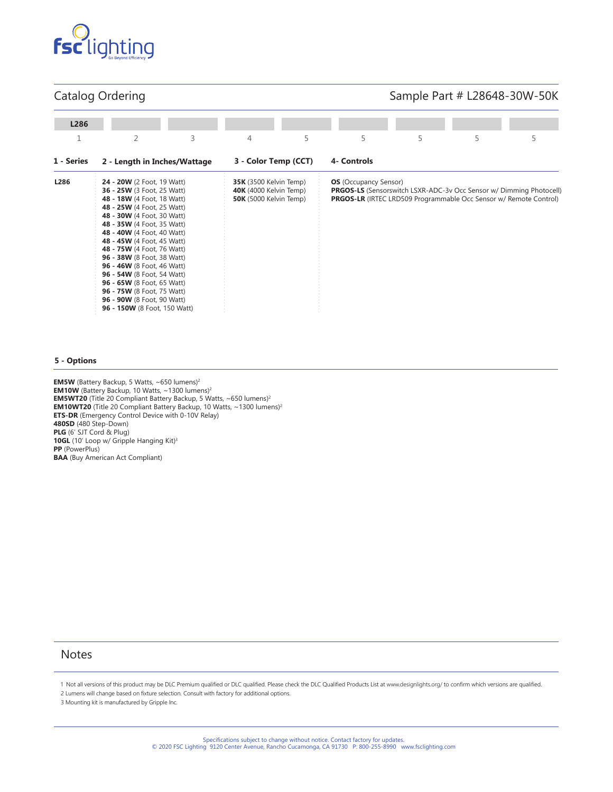

## Catalog Ordering

# Sample Part # L28648-30W-50K

| L286       |                                                                                                                                                                                                                                                                                                                                                                                                                                                                                                                     |   |                                                                                                 |   |                              |   |                                                                                                                                                        |   |
|------------|---------------------------------------------------------------------------------------------------------------------------------------------------------------------------------------------------------------------------------------------------------------------------------------------------------------------------------------------------------------------------------------------------------------------------------------------------------------------------------------------------------------------|---|-------------------------------------------------------------------------------------------------|---|------------------------------|---|--------------------------------------------------------------------------------------------------------------------------------------------------------|---|
|            | $\overline{2}$                                                                                                                                                                                                                                                                                                                                                                                                                                                                                                      | 3 | 4                                                                                               | 5 | 5                            | 5 | 5                                                                                                                                                      | 5 |
| 1 - Series | 2 - Length in Inches/Wattage                                                                                                                                                                                                                                                                                                                                                                                                                                                                                        |   | 3 - Color Temp (CCT)                                                                            |   | 4- Controls                  |   |                                                                                                                                                        |   |
| L286       | 24 - 20W (2 Foot, 19 Watt)<br><b>36 - 25W</b> (3 Foot, 25 Watt)<br>48 - 18W (4 Foot, 18 Watt)<br>48 - 25W (4 Foot, 25 Watt)<br>48 - 30W (4 Foot, 30 Watt)<br>48 - 35W (4 Foot, 35 Watt)<br>48 - 40W (4 Foot, 40 Watt)<br>48 - 45W (4 Foot, 45 Watt)<br>48 - 75W (4 Foot, 76 Watt)<br>96 - 38W (8 Foot, 38 Watt)<br><b>96 - 46W</b> (8 Foot, 46 Watt)<br>96 - 54W (8 Foot, 54 Watt)<br>96 - 65W (8 Foot, 65 Watt)<br>96 - 75W (8 Foot, 75 Watt)<br><b>96 - 90W</b> (8 Foot, 90 Watt)<br>96 - 150W (8 Foot, 150 Watt) |   | <b>35K</b> (3500 Kelvin Temp)<br><b>40K</b> (4000 Kelvin Temp)<br><b>50K</b> (5000 Kelvin Temp) |   | <b>OS</b> (Occupancy Sensor) |   | <b>PRGOS-LS</b> (Sensorswitch LSXR-ADC-3v Occ Sensor w/ Dimming Photocell)<br><b>PRGOS-LR</b> (IRTEC LRD509 Programmable Occ Sensor w/ Remote Control) |   |

#### **5 - Options**

**EM5W** (Battery Backup, 5 Watts, ~650 lumens)2 **EM10W** (Battery Backup, 10 Watts,  $\sim$ 1300 lumens)<sup>2</sup> **EM5WT20** (Title 20 Compliant Battery Backup, 5 Watts, ~650 lumens)<sup>2</sup> **EM10WT20** (Title 20 Compliant Battery Backup, 10 Watts, ~1300 lumens)<sup>2</sup> **ETS-DR** (Emergency Control Device with 0-10V Relay) **480SD** (480 Step-Down) **PLG** (6' SJT Cord & Plug) 10GL (10' Loop w/ Gripple Hanging Kit)<sup>3</sup> **PP** (PowerPlus) **BAA** (Buy American Act Compliant)

## **Notes**

1 Not all versions of this product may be DLC Premium qualified or DLC qualified. Please check the DLC Qualified Products List at www.designlights.org/ to confirm which versions are qualified. 2 Lumens will change based on fixture selection. Consult with factory for additional options.

3 Mounting kit is manufactured by Gripple Inc.